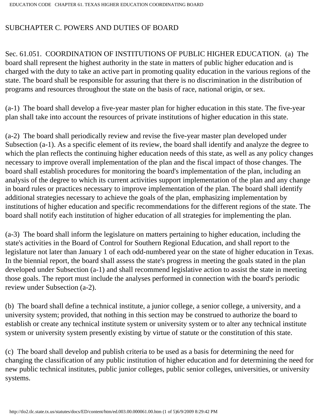## SUBCHAPTER C. POWERS AND DUTIES OF BOARD

Sec. 61.051. COORDINATION OF INSTITUTIONS OF PUBLIC HIGHER EDUCATION. (a) The board shall represent the highest authority in the state in matters of public higher education and is charged with the duty to take an active part in promoting quality education in the various regions of the state. The board shall be responsible for assuring that there is no discrimination in the distribution of programs and resources throughout the state on the basis of race, national origin, or sex.

(a-1) The board shall develop a five-year master plan for higher education in this state. The five-year plan shall take into account the resources of private institutions of higher education in this state.

(a-2) The board shall periodically review and revise the five-year master plan developed under Subsection (a-1). As a specific element of its review, the board shall identify and analyze the degree to which the plan reflects the continuing higher education needs of this state, as well as any policy changes necessary to improve overall implementation of the plan and the fiscal impact of those changes. The board shall establish procedures for monitoring the board's implementation of the plan, including an analysis of the degree to which its current activities support implementation of the plan and any change in board rules or practices necessary to improve implementation of the plan. The board shall identify additional strategies necessary to achieve the goals of the plan, emphasizing implementation by institutions of higher education and specific recommendations for the different regions of the state. The board shall notify each institution of higher education of all strategies for implementing the plan.

(a-3) The board shall inform the legislature on matters pertaining to higher education, including the state's activities in the Board of Control for Southern Regional Education, and shall report to the legislature not later than January 1 of each odd-numbered year on the state of higher education in Texas. In the biennial report, the board shall assess the state's progress in meeting the goals stated in the plan developed under Subsection (a-1) and shall recommend legislative action to assist the state in meeting those goals. The report must include the analyses performed in connection with the board's periodic review under Subsection (a-2).

(b) The board shall define a technical institute, a junior college, a senior college, a university, and a university system; provided, that nothing in this section may be construed to authorize the board to establish or create any technical institute system or university system or to alter any technical institute system or university system presently existing by virtue of statute or the constitution of this state.

(c) The board shall develop and publish criteria to be used as a basis for determining the need for changing the classification of any public institution of higher education and for determining the need for new public technical institutes, public junior colleges, public senior colleges, universities, or university systems.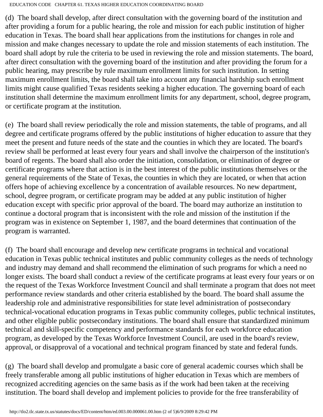EDUCATION CODE CHAPTER 61. TEXAS HIGHER EDUCATION COORDINATING BOARD

(d) The board shall develop, after direct consultation with the governing board of the institution and after providing a forum for a public hearing, the role and mission for each public institution of higher education in Texas. The board shall hear applications from the institutions for changes in role and mission and make changes necessary to update the role and mission statements of each institution. The board shall adopt by rule the criteria to be used in reviewing the role and mission statements. The board, after direct consultation with the governing board of the institution and after providing the forum for a public hearing, may prescribe by rule maximum enrollment limits for such institution. In setting maximum enrollment limits, the board shall take into account any financial hardship such enrollment limits might cause qualified Texas residents seeking a higher education. The governing board of each institution shall determine the maximum enrollment limits for any department, school, degree program, or certificate program at the institution.

(e) The board shall review periodically the role and mission statements, the table of programs, and all degree and certificate programs offered by the public institutions of higher education to assure that they meet the present and future needs of the state and the counties in which they are located. The board's review shall be performed at least every four years and shall involve the chairperson of the institution's board of regents. The board shall also order the initiation, consolidation, or elimination of degree or certificate programs where that action is in the best interest of the public institutions themselves or the general requirements of the State of Texas, the counties in which they are located, or when that action offers hope of achieving excellence by a concentration of available resources. No new department, school, degree program, or certificate program may be added at any public institution of higher education except with specific prior approval of the board. The board may authorize an institution to continue a doctoral program that is inconsistent with the role and mission of the institution if the program was in existence on September 1, 1987, and the board determines that continuation of the program is warranted.

(f) The board shall encourage and develop new certificate programs in technical and vocational education in Texas public technical institutes and public community colleges as the needs of technology and industry may demand and shall recommend the elimination of such programs for which a need no longer exists. The board shall conduct a review of the certificate programs at least every four years or on the request of the Texas Workforce Investment Council and shall terminate a program that does not meet performance review standards and other criteria established by the board. The board shall assume the leadership role and administrative responsibilities for state level administration of postsecondary technical-vocational education programs in Texas public community colleges, public technical institutes, and other eligible public postsecondary institutions. The board shall ensure that standardized minimum technical and skill-specific competency and performance standards for each workforce education program, as developed by the Texas Workforce Investment Council, are used in the board's review, approval, or disapproval of a vocational and technical program financed by state and federal funds.

(g) The board shall develop and promulgate a basic core of general academic courses which shall be freely transferable among all public institutions of higher education in Texas which are members of recognized accrediting agencies on the same basis as if the work had been taken at the receiving institution. The board shall develop and implement policies to provide for the free transferability of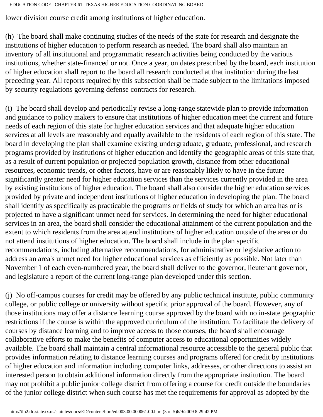EDUCATION CODE CHAPTER 61. TEXAS HIGHER EDUCATION COORDINATING BOARD

lower division course credit among institutions of higher education.

(h) The board shall make continuing studies of the needs of the state for research and designate the institutions of higher education to perform research as needed. The board shall also maintain an inventory of all institutional and programmatic research activities being conducted by the various institutions, whether state-financed or not. Once a year, on dates prescribed by the board, each institution of higher education shall report to the board all research conducted at that institution during the last preceding year. All reports required by this subsection shall be made subject to the limitations imposed by security regulations governing defense contracts for research.

(i) The board shall develop and periodically revise a long-range statewide plan to provide information and guidance to policy makers to ensure that institutions of higher education meet the current and future needs of each region of this state for higher education services and that adequate higher education services at all levels are reasonably and equally available to the residents of each region of this state. The board in developing the plan shall examine existing undergraduate, graduate, professional, and research programs provided by institutions of higher education and identify the geographic areas of this state that, as a result of current population or projected population growth, distance from other educational resources, economic trends, or other factors, have or are reasonably likely to have in the future significantly greater need for higher education services than the services currently provided in the area by existing institutions of higher education. The board shall also consider the higher education services provided by private and independent institutions of higher education in developing the plan. The board shall identify as specifically as practicable the programs or fields of study for which an area has or is projected to have a significant unmet need for services. In determining the need for higher educational services in an area, the board shall consider the educational attainment of the current population and the extent to which residents from the area attend institutions of higher education outside of the area or do not attend institutions of higher education. The board shall include in the plan specific recommendations, including alternative recommendations, for administrative or legislative action to address an area's unmet need for higher educational services as efficiently as possible. Not later than November 1 of each even-numbered year, the board shall deliver to the governor, lieutenant governor, and legislature a report of the current long-range plan developed under this section.

(j) No off-campus courses for credit may be offered by any public technical institute, public community college, or public college or university without specific prior approval of the board. However, any of those institutions may offer a distance learning course approved by the board with no in-state geographic restrictions if the course is within the approved curriculum of the institution. To facilitate the delivery of courses by distance learning and to improve access to those courses, the board shall encourage collaborative efforts to make the benefits of computer access to educational opportunities widely available. The board shall maintain a central informational resource accessible to the general public that provides information relating to distance learning courses and programs offered for credit by institutions of higher education and information including computer links, addresses, or other directions to assist an interested person to obtain additional information directly from the appropriate institution. The board may not prohibit a public junior college district from offering a course for credit outside the boundaries of the junior college district when such course has met the requirements for approval as adopted by the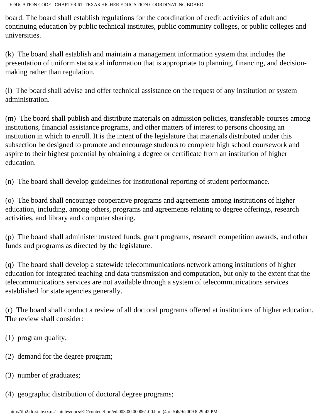EDUCATION CODE CHAPTER 61. TEXAS HIGHER EDUCATION COORDINATING BOARD

board. The board shall establish regulations for the coordination of credit activities of adult and continuing education by public technical institutes, public community colleges, or public colleges and universities.

(k) The board shall establish and maintain a management information system that includes the presentation of uniform statistical information that is appropriate to planning, financing, and decisionmaking rather than regulation.

(l) The board shall advise and offer technical assistance on the request of any institution or system administration.

(m) The board shall publish and distribute materials on admission policies, transferable courses among institutions, financial assistance programs, and other matters of interest to persons choosing an institution in which to enroll. It is the intent of the legislature that materials distributed under this subsection be designed to promote and encourage students to complete high school coursework and aspire to their highest potential by obtaining a degree or certificate from an institution of higher education.

(n) The board shall develop guidelines for institutional reporting of student performance.

(o) The board shall encourage cooperative programs and agreements among institutions of higher education, including, among others, programs and agreements relating to degree offerings, research activities, and library and computer sharing.

(p) The board shall administer trusteed funds, grant programs, research competition awards, and other funds and programs as directed by the legislature.

(q) The board shall develop a statewide telecommunications network among institutions of higher education for integrated teaching and data transmission and computation, but only to the extent that the telecommunications services are not available through a system of telecommunications services established for state agencies generally.

(r) The board shall conduct a review of all doctoral programs offered at institutions of higher education. The review shall consider:

- (1) program quality;
- (2) demand for the degree program;
- (3) number of graduates;
- (4) geographic distribution of doctoral degree programs;